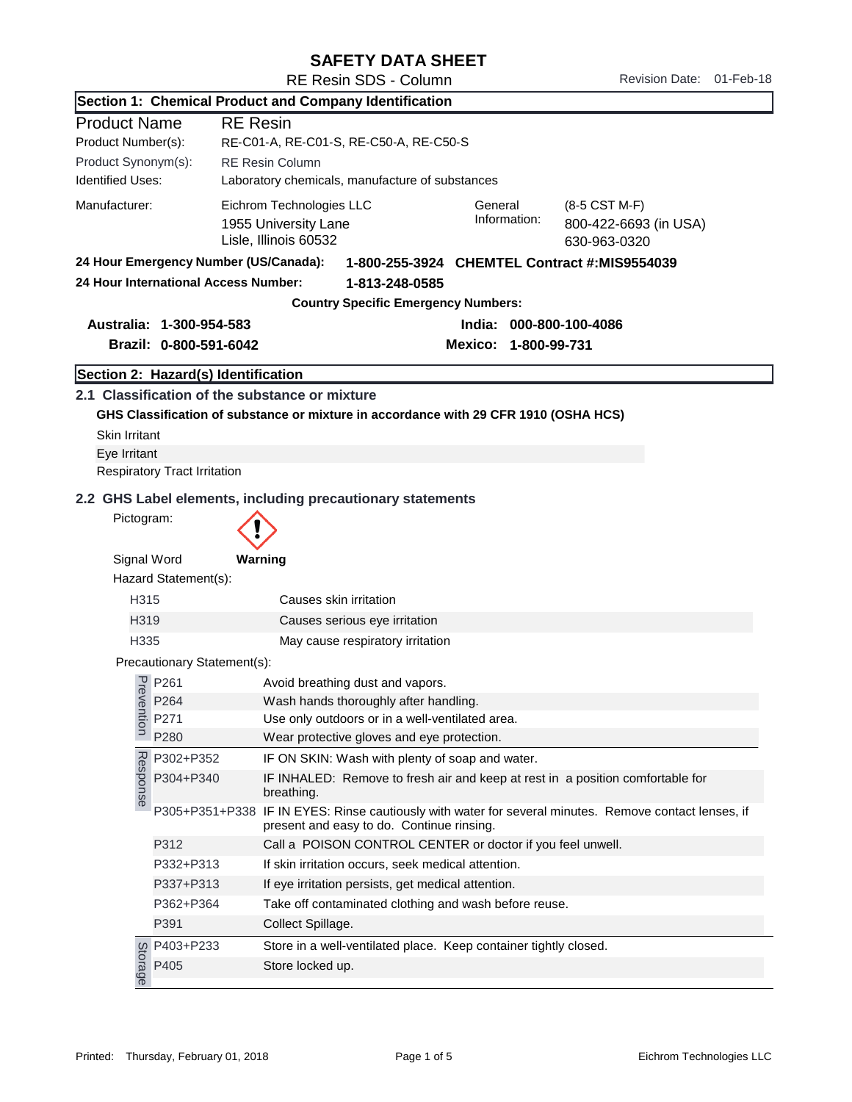## SAFETY DATA SHEET

|                                                     |                                       | Section 1: Chemical Product and Company Identification                                                                                                         |  |  |  |
|-----------------------------------------------------|---------------------------------------|----------------------------------------------------------------------------------------------------------------------------------------------------------------|--|--|--|
| <b>Product Name</b>                                 |                                       | <b>RE</b> Resin                                                                                                                                                |  |  |  |
| Product Number(s):                                  |                                       | RE-C01-A, RE-C01-S, RE-C50-A, RE-C50-S                                                                                                                         |  |  |  |
| Product Synonym(s):                                 |                                       | <b>RE Resin Column</b>                                                                                                                                         |  |  |  |
| <b>Identified Uses:</b>                             |                                       | Laboratory chemicals, manufacture of substances                                                                                                                |  |  |  |
| Manufacturer:                                       |                                       | Eichrom Technologies LLC<br>General<br>(8-5 CST M-F)<br>Information:<br>1955 University Lane<br>800-422-6693 (in USA)<br>Lisle, Illinois 60532<br>630-963-0320 |  |  |  |
|                                                     | 24 Hour Emergency Number (US/Canada): | 1-800-255-3924 CHEMTEL Contract #: MIS9554039                                                                                                                  |  |  |  |
|                                                     | 24 Hour International Access Number:  | 1-813-248-0585                                                                                                                                                 |  |  |  |
|                                                     |                                       | <b>Country Specific Emergency Numbers:</b>                                                                                                                     |  |  |  |
| Australia: 1-300-954-583<br>India: 000-800-100-4086 |                                       |                                                                                                                                                                |  |  |  |
|                                                     | Brazil: 0-800-591-6042                | Mexico: 1-800-99-731                                                                                                                                           |  |  |  |
|                                                     | Section 2: Hazard(s) Identification   |                                                                                                                                                                |  |  |  |
|                                                     |                                       | 2.1 Classification of the substance or mixture                                                                                                                 |  |  |  |
|                                                     |                                       | GHS Classification of substance or mixture in accordance with 29 CFR 1910 (OSHA HCS)                                                                           |  |  |  |
| <b>Skin Irritant</b>                                |                                       |                                                                                                                                                                |  |  |  |
| Eye Irritant                                        |                                       |                                                                                                                                                                |  |  |  |
|                                                     | <b>Respiratory Tract Irritation</b>   |                                                                                                                                                                |  |  |  |
|                                                     |                                       | 2.2 GHS Label elements, including precautionary statements                                                                                                     |  |  |  |
| Pictogram:                                          |                                       |                                                                                                                                                                |  |  |  |
|                                                     |                                       |                                                                                                                                                                |  |  |  |
| Signal Word                                         |                                       | Warning                                                                                                                                                        |  |  |  |
|                                                     | Hazard Statement(s):                  |                                                                                                                                                                |  |  |  |
| H315                                                |                                       | Causes skin irritation                                                                                                                                         |  |  |  |
| H319                                                |                                       | Causes serious eye irritation                                                                                                                                  |  |  |  |
| H335                                                |                                       | May cause respiratory irritation                                                                                                                               |  |  |  |
|                                                     | Precautionary Statement(s):           |                                                                                                                                                                |  |  |  |
|                                                     | P261                                  | Avoid breathing dust and vapors.                                                                                                                               |  |  |  |
| Prevel                                              | P264                                  | Wash hands thoroughly after handling.                                                                                                                          |  |  |  |
| ntion                                               | P271                                  | Use only outdoors or in a well-ventilated area.                                                                                                                |  |  |  |
|                                                     | P280                                  | Wear protective gloves and eye protection.                                                                                                                     |  |  |  |
|                                                     | P302+P352                             | IF ON SKIN: Wash with plenty of soap and water.                                                                                                                |  |  |  |
| Response                                            | P304+P340                             | IF INHALED: Remove to fresh air and keep at rest in a position comfortable for<br>breathing.                                                                   |  |  |  |
|                                                     |                                       | P305+P351+P338 IF IN EYES: Rinse cautiously with water for several minutes. Remove contact lenses, if<br>present and easy to do. Continue rinsing.             |  |  |  |
|                                                     | P312                                  | Call a POISON CONTROL CENTER or doctor if you feel unwell.                                                                                                     |  |  |  |
|                                                     | P332+P313                             | If skin irritation occurs, seek medical attention.                                                                                                             |  |  |  |
|                                                     | P337+P313                             | If eye irritation persists, get medical attention.                                                                                                             |  |  |  |
|                                                     | P362+P364                             | Take off contaminated clothing and wash before reuse.                                                                                                          |  |  |  |
|                                                     | P391                                  | Collect Spillage.                                                                                                                                              |  |  |  |
|                                                     |                                       | Store in a well-ventilated place. Keep container tightly closed.                                                                                               |  |  |  |
|                                                     | g P403+P233<br>a P405<br>e P405       | Store locked up.                                                                                                                                               |  |  |  |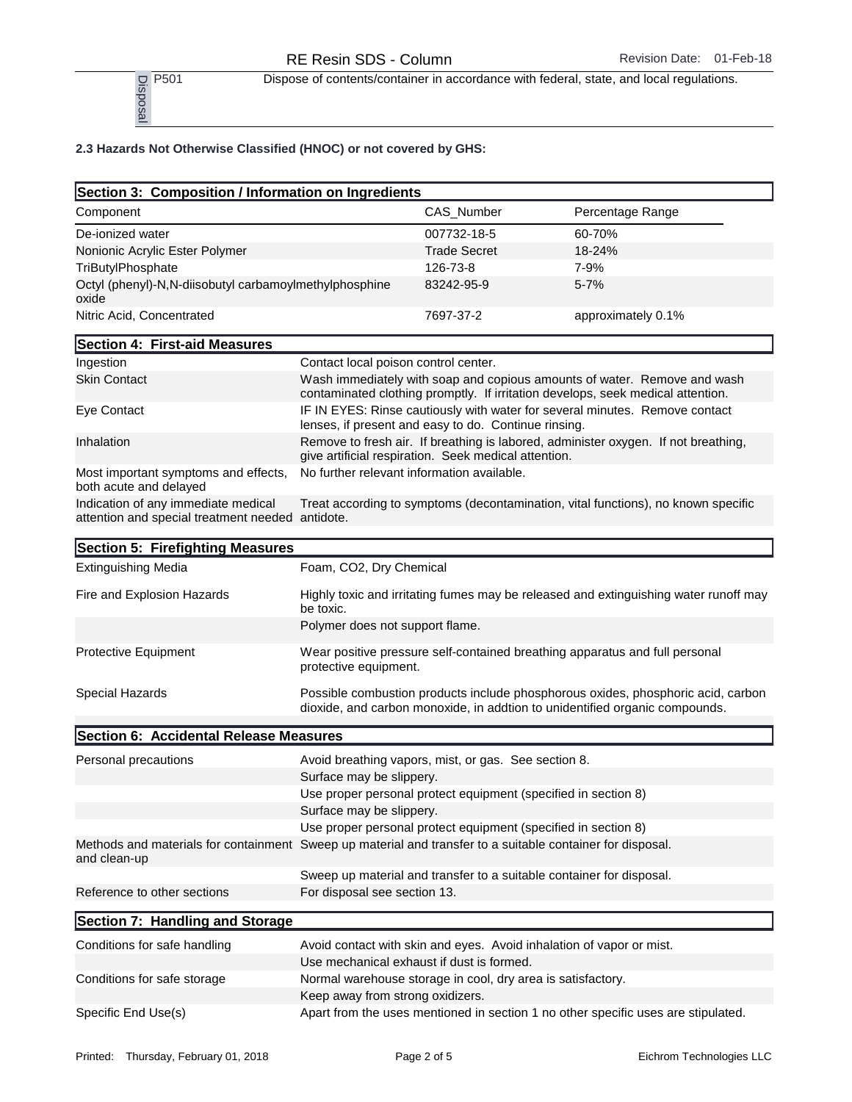P<sub>501</sub> Dispose of contents/container in accordance with federal, state, and local regulations.<br>
P<sub>50</sub><br>
<u>B</u><br>
<u>B</u><br>
<u>B</u>

## 2.3 Hazards Not Otherwise Classified (HNOC) or not covered by GHS:

| P501<br>Disposa                                                    |                     | Dispose of contents/container in accordance with federal, state, and local regulations. |
|--------------------------------------------------------------------|---------------------|-----------------------------------------------------------------------------------------|
| 2.3 Hazards Not Otherwise Classified (HNOC) or not covered by GHS: |                     |                                                                                         |
| Section 3: Composition / Information on Ingredients                |                     |                                                                                         |
| Component                                                          | CAS Number          | Percentage Range                                                                        |
| De-ionized water                                                   | 007732-18-5         | 60-70%                                                                                  |
| Nonionic Acrylic Ester Polymer                                     | <b>Trade Secret</b> | 18-24%                                                                                  |
| TriButylPhosphate                                                  | 126-73-8            | 7-9%                                                                                    |
| Octyl (phenyl)-N.N-diisobutyl carbamoylmethylphosphine<br>oxide    | 83242-95-9          | $5 - 7%$                                                                                |
| Nitric Acid, Concentrated                                          | 7697-37-2           | approximately 0.1%                                                                      |

| Section 4: First-aid Measures                                                           |                                                                                                                                                             |
|-----------------------------------------------------------------------------------------|-------------------------------------------------------------------------------------------------------------------------------------------------------------|
| Ingestion                                                                               | Contact local poison control center.                                                                                                                        |
| <b>Skin Contact</b>                                                                     | Wash immediately with soap and copious amounts of water. Remove and wash<br>contaminated clothing promptly. If irritation develops, seek medical attention. |
| Eye Contact                                                                             | IF IN EYES: Rinse cautiously with water for several minutes. Remove contact<br>lenses, if present and easy to do. Continue rinsing.                         |
| Inhalation                                                                              | Remove to fresh air. If breathing is labored, administer oxygen. If not breathing,<br>give artificial respiration. Seek medical attention.                  |
| Most important symptoms and effects,<br>both acute and delayed                          | No further relevant information available.                                                                                                                  |
| Indication of any immediate medical<br>attention and special treatment needed antidote. | Treat according to symptoms (decontamination, vital functions), no known specific                                                                           |

| Section 5: Firefighting Measures       |                                                                                                                                                                 |
|----------------------------------------|-----------------------------------------------------------------------------------------------------------------------------------------------------------------|
| <b>Extinguishing Media</b>             | Foam, CO2, Dry Chemical                                                                                                                                         |
| Fire and Explosion Hazards             | Highly toxic and irritating fumes may be released and extinguishing water runoff may<br>be toxic.                                                               |
|                                        | Polymer does not support flame.                                                                                                                                 |
| Protective Equipment                   | Wear positive pressure self-contained breathing apparatus and full personal<br>protective equipment.                                                            |
| Special Hazards                        | Possible combustion products include phosphorous oxides, phosphoric acid, carbon<br>dioxide, and carbon monoxide, in addtion to unidentified organic compounds. |
| Section 6: Accidental Release Measures |                                                                                                                                                                 |
| Personal precautions                   | Avoid breathing vapors, mist, or gas. See section 8.<br>Surface may be slippery.                                                                                |
|                                        | Use proper personal protect equipment (specified in section 8)                                                                                                  |
|                                        | Surface may be slippery.                                                                                                                                        |
|                                        | Use proper personal protect equipment (specified in section 8)                                                                                                  |
| and clean-up                           | Methods and materials for containment Sweep up material and transfer to a suitable container for disposal.                                                      |
|                                        | Sweep up material and transfer to a suitable container for disposal.                                                                                            |
| Reference to other sections            | For disposal see section 13.                                                                                                                                    |
| Section 7: Handling and Storage        |                                                                                                                                                                 |
| Conditions for safe handling           | Avoid contact with skin and eyes. Avoid inhalation of vapor or mist.                                                                                            |
|                                        | Use mechanical exhaust if dust is formed.                                                                                                                       |
| Conditions for safe storage            | Normal warehouse storage in cool, dry area is satisfactory.                                                                                                     |
|                                        | Keep away from strong oxidizers.                                                                                                                                |
| Specific End Use(s)                    | Apart from the uses mentioned in section 1 no other specific uses are stipulated.                                                                               |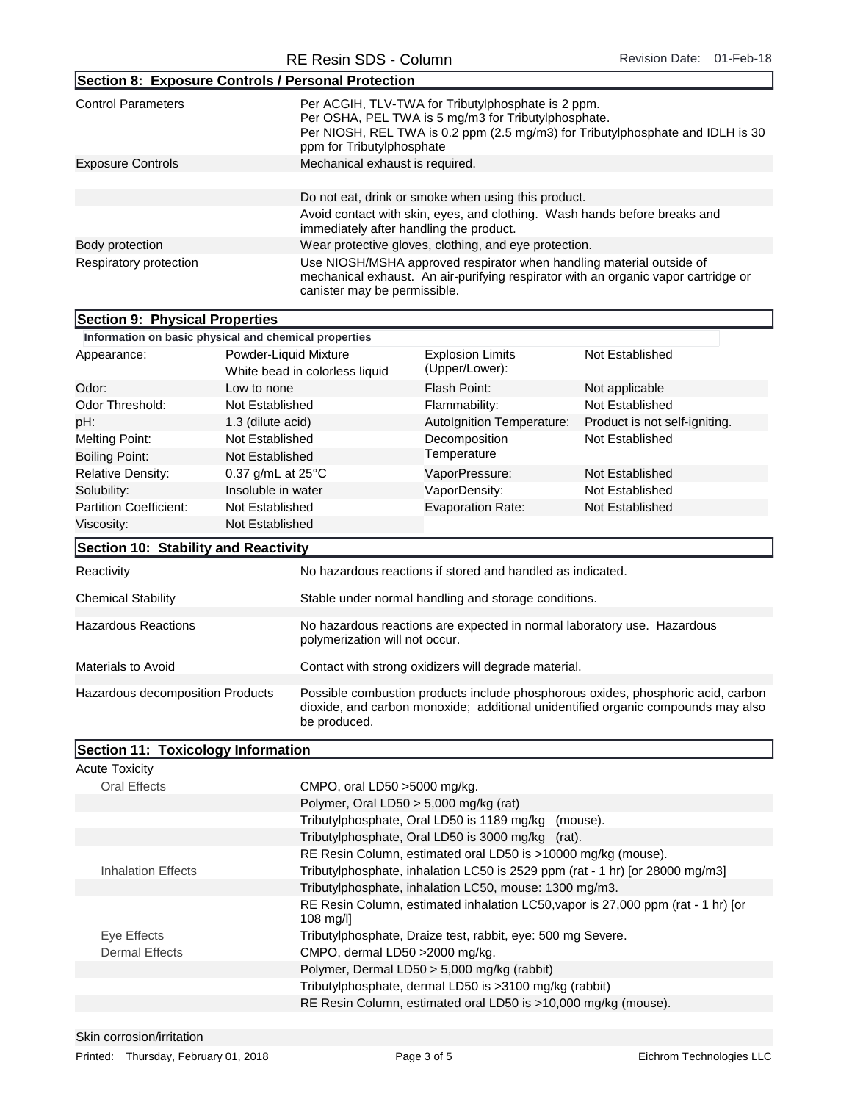| Section 8: Exposure Controls / Personal Protection    |                                                         |                                                                                                                                                                                                                          |                                                                                                                                                            |  |
|-------------------------------------------------------|---------------------------------------------------------|--------------------------------------------------------------------------------------------------------------------------------------------------------------------------------------------------------------------------|------------------------------------------------------------------------------------------------------------------------------------------------------------|--|
| <b>Control Parameters</b>                             |                                                         | Per ACGIH, TLV-TWA for Tributylphosphate is 2 ppm.<br>Per OSHA, PEL TWA is 5 mg/m3 for Tributylphosphate.<br>Per NIOSH, REL TWA is 0.2 ppm (2.5 mg/m3) for Tributylphosphate and IDLH is 30<br>ppm for Tributylphosphate |                                                                                                                                                            |  |
| <b>Exposure Controls</b>                              | Mechanical exhaust is required.                         |                                                                                                                                                                                                                          |                                                                                                                                                            |  |
|                                                       |                                                         | Do not eat, drink or smoke when using this product.                                                                                                                                                                      |                                                                                                                                                            |  |
|                                                       |                                                         | immediately after handling the product.                                                                                                                                                                                  | Avoid contact with skin, eyes, and clothing. Wash hands before breaks and                                                                                  |  |
| Body protection                                       |                                                         | Wear protective gloves, clothing, and eye protection.                                                                                                                                                                    |                                                                                                                                                            |  |
| Respiratory protection                                | canister may be permissible.                            |                                                                                                                                                                                                                          | Use NIOSH/MSHA approved respirator when handling material outside of<br>mechanical exhaust. An air-purifying respirator with an organic vapor cartridge or |  |
| Section 9: Physical Properties                        |                                                         |                                                                                                                                                                                                                          |                                                                                                                                                            |  |
| Information on basic physical and chemical properties |                                                         |                                                                                                                                                                                                                          |                                                                                                                                                            |  |
| Appearance:                                           | Powder-Liquid Mixture<br>White bead in colorless liquid | <b>Explosion Limits</b><br>(Upper/Lower):                                                                                                                                                                                | Not Established                                                                                                                                            |  |
| Odor:                                                 | Low to none                                             | Flash Point:                                                                                                                                                                                                             | Not applicable                                                                                                                                             |  |
| Odor Threshold:                                       | Not Fstablished.                                        | Flammability:                                                                                                                                                                                                            | Not Established                                                                                                                                            |  |

| Odor Threshold:<br>Not Established       |                             |                                                                                                                                                                                      | Flammability:                                                           | Not Established               |
|------------------------------------------|-----------------------------|--------------------------------------------------------------------------------------------------------------------------------------------------------------------------------------|-------------------------------------------------------------------------|-------------------------------|
| pH:                                      | 1.3 (dilute acid)           |                                                                                                                                                                                      | Autolgnition Temperature:                                               | Product is not self-igniting. |
| <b>Melting Point:</b>                    | Not Established             |                                                                                                                                                                                      | Decomposition                                                           | Not Established               |
| <b>Boiling Point:</b><br>Not Established |                             | Temperature                                                                                                                                                                          |                                                                         |                               |
| <b>Relative Density:</b>                 | 0.37 g/mL at $25^{\circ}$ C |                                                                                                                                                                                      | VaporPressure:                                                          | Not Established               |
| Solubility:                              | Insoluble in water          |                                                                                                                                                                                      | VaporDensity:                                                           | Not Established               |
| <b>Partition Coefficient:</b>            | Not Established             |                                                                                                                                                                                      | <b>Evaporation Rate:</b>                                                | Not Established               |
| Viscosity:                               | Not Established             |                                                                                                                                                                                      |                                                                         |                               |
| Section 10: Stability and Reactivity     |                             |                                                                                                                                                                                      |                                                                         |                               |
| Reactivity                               |                             |                                                                                                                                                                                      | No hazardous reactions if stored and handled as indicated.              |                               |
| Chemical Stability                       |                             |                                                                                                                                                                                      | Stable under normal handling and storage conditions.                    |                               |
| <b>Hazardous Reactions</b>               |                             | polymerization will not occur.                                                                                                                                                       | No hazardous reactions are expected in normal laboratory use. Hazardous |                               |
| Materials to Avoid                       |                             | Contact with strong oxidizers will degrade material.                                                                                                                                 |                                                                         |                               |
| Hazardous decomposition Products         |                             | Possible combustion products include phosphorous oxides, phosphoric acid, carbon<br>dioxide, and carbon monoxide; additional unidentified organic compounds may also<br>be produced. |                                                                         |                               |

| Section 11: Toxicology Information |                                                                                                        |
|------------------------------------|--------------------------------------------------------------------------------------------------------|
| <b>Acute Toxicity</b>              |                                                                                                        |
| Oral Effects                       | CMPO, oral LD50 $>$ 5000 mg/kg.                                                                        |
|                                    | Polymer, Oral LD50 > 5,000 mg/kg (rat)                                                                 |
|                                    | Tributylphosphate, Oral LD50 is 1189 mg/kg (mouse).                                                    |
|                                    | Tributylphosphate, Oral LD50 is 3000 mg/kg (rat).                                                      |
|                                    | RE Resin Column, estimated oral LD50 is >10000 mg/kg (mouse).                                          |
| Inhalation Effects                 | Tributylphosphate, inhalation LC50 is 2529 ppm (rat - 1 hr) [or 28000 mg/m3]                           |
|                                    | Tributylphosphate, inhalation LC50, mouse: 1300 mg/m3.                                                 |
|                                    | RE Resin Column, estimated inhalation LC50, vapor is 27,000 ppm (rat - 1 hr) [or<br>$108 \text{ mg/l}$ |
| Eye Effects                        | Tributylphosphate, Draize test, rabbit, eye: 500 mg Severe.                                            |
| <b>Dermal Effects</b>              | CMPO, dermal LD50 > 2000 mg/kg.                                                                        |
|                                    | Polymer, Dermal LD50 > 5,000 mg/kg (rabbit)                                                            |
|                                    | Tributylphosphate, dermal LD50 is >3100 mg/kg (rabbit)                                                 |
|                                    | RE Resin Column, estimated oral LD50 is >10,000 mg/kg (mouse).                                         |
|                                    |                                                                                                        |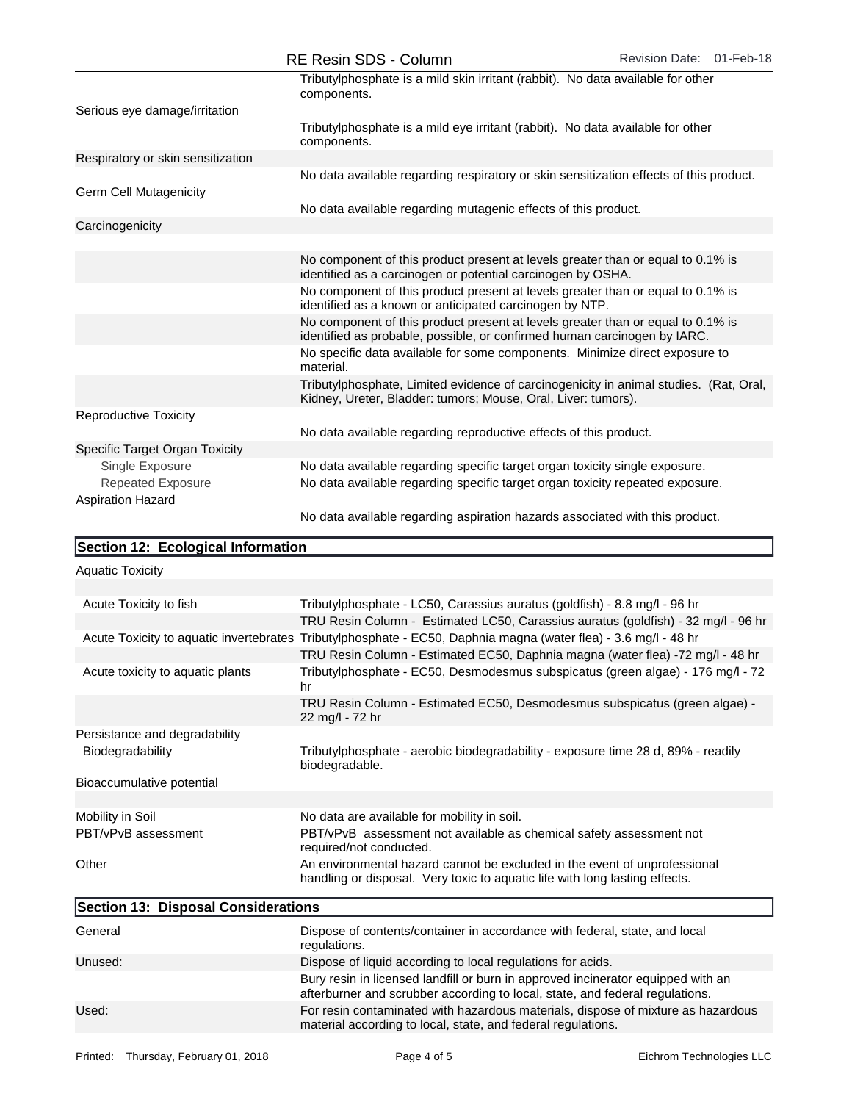|                                   | RE RESIN SUS - COIUNNI                                                                                                                                      | Revision Date: 01-Feb-10 |
|-----------------------------------|-------------------------------------------------------------------------------------------------------------------------------------------------------------|--------------------------|
|                                   | Tributylphosphate is a mild skin irritant (rabbit). No data available for other<br>components.                                                              |                          |
| Serious eye damage/irritation     |                                                                                                                                                             |                          |
|                                   | Tributylphosphate is a mild eye irritant (rabbit). No data available for other<br>components.                                                               |                          |
| Respiratory or skin sensitization |                                                                                                                                                             |                          |
|                                   | No data available regarding respiratory or skin sensitization effects of this product.                                                                      |                          |
| Germ Cell Mutagenicity            |                                                                                                                                                             |                          |
|                                   | No data available regarding mutagenic effects of this product.                                                                                              |                          |
| Carcinogenicity                   |                                                                                                                                                             |                          |
|                                   |                                                                                                                                                             |                          |
|                                   | No component of this product present at levels greater than or equal to 0.1% is<br>identified as a carcinogen or potential carcinogen by OSHA.              |                          |
|                                   | No component of this product present at levels greater than or equal to 0.1% is<br>identified as a known or anticipated carcinogen by NTP.                  |                          |
|                                   | No component of this product present at levels greater than or equal to 0.1% is<br>identified as probable, possible, or confirmed human carcinogen by IARC. |                          |
|                                   | No specific data available for some components. Minimize direct exposure to<br>material.                                                                    |                          |
|                                   | Tributylphosphate, Limited evidence of carcinogenicity in animal studies. (Rat, Oral,<br>Kidney, Ureter, Bladder: tumors; Mouse, Oral, Liver: tumors).      |                          |
| <b>Reproductive Toxicity</b>      |                                                                                                                                                             |                          |
|                                   | No data available regarding reproductive effects of this product.                                                                                           |                          |
| Specific Target Organ Toxicity    |                                                                                                                                                             |                          |
| Single Exposure                   | No data available regarding specific target organ toxicity single exposure.                                                                                 |                          |
| <b>Repeated Exposure</b>          | No data available regarding specific target organ toxicity repeated exposure.                                                                               |                          |
| <b>Aspiration Hazard</b>          |                                                                                                                                                             |                          |
|                                   | No data available regarding aspiration hazards associated with this product.                                                                                |                          |

## Section 12: Ecological Information

| <b>Aquatic Toxicity</b> |
|-------------------------|
|-------------------------|

| Acute Toxicity to fish              | Tributylphosphate - LC50, Carassius auratus (goldfish) - 8.8 mg/l - 96 hr                                                                                        |  |  |
|-------------------------------------|------------------------------------------------------------------------------------------------------------------------------------------------------------------|--|--|
|                                     | TRU Resin Column - Estimated LC50, Carassius auratus (goldfish) - 32 mg/l - 96 hr                                                                                |  |  |
|                                     | Acute Toxicity to aquatic invertebrates Tributylphosphate - EC50, Daphnia magna (water flea) - 3.6 mg/l - 48 hr                                                  |  |  |
|                                     | TRU Resin Column - Estimated EC50, Daphnia magna (water flea) -72 mg/l - 48 hr                                                                                   |  |  |
| Acute toxicity to aquatic plants    | Tributylphosphate - EC50, Desmodesmus subspicatus (green algae) - 176 mg/l - 72<br>hr                                                                            |  |  |
|                                     | TRU Resin Column - Estimated EC50, Desmodesmus subspicatus (green algae) -<br>22 mg/l - 72 hr                                                                    |  |  |
| Persistance and degradability       |                                                                                                                                                                  |  |  |
| Biodegradability                    | Tributylphosphate - aerobic biodegradability - exposure time 28 d, 89% - readily<br>biodegradable.                                                               |  |  |
| Bioaccumulative potential           |                                                                                                                                                                  |  |  |
|                                     |                                                                                                                                                                  |  |  |
| Mobility in Soil                    | No data are available for mobility in soil.                                                                                                                      |  |  |
| PBT/vPvB assessment                 | PBT/vPvB assessment not available as chemical safety assessment not<br>required/not conducted.                                                                   |  |  |
| Other                               | An environmental hazard cannot be excluded in the event of unprofessional<br>handling or disposal. Very toxic to aquatic life with long lasting effects.         |  |  |
| Section 13: Disposal Considerations |                                                                                                                                                                  |  |  |
| General                             | Dispose of contents/container in accordance with federal, state, and local<br>regulations.                                                                       |  |  |
| Unused:                             | Dispose of liquid according to local regulations for acids.                                                                                                      |  |  |
|                                     | Bury resin in licensed landfill or burn in approved incinerator equipped with an<br>afterburner and scrubber according to local, state, and federal regulations. |  |  |

material according to local, state, and federal regulations.

For resin contaminated with hazardous materials, dispose of mixture as hazardous